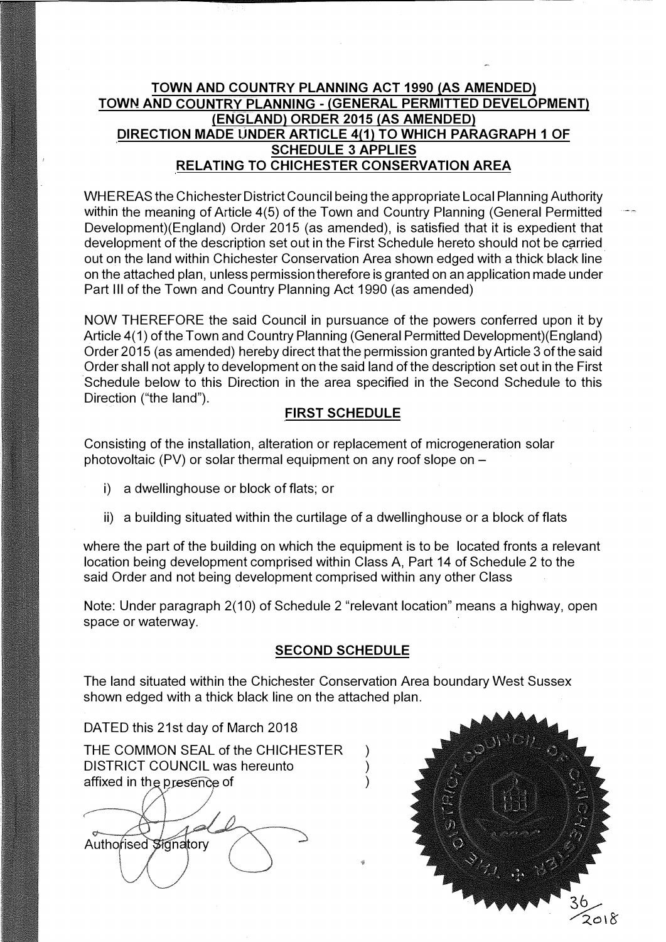## **TOWN AND COUNTRY PLANNING ACT 1990 (AS AMENDED) TOWN AND COUNTRY PLANNING - (GENERAL PERMITTED DEVELOPMENT) (ENGLAND) ORDER 2015 (AS AMENDED) DIRECTION MADE UNDER ARTICLE 4(1) TO WHICH PARAGRAPH 1 OF SCHEDULE 3 APPLIES RELATING TO CHICHESTER CONSERVATION AREA**

WHEREAS the Chichester District Council being the appropriate Local Planning Authority within the meaning of Article 4(5) of the Town and Country Planning (General Permitted Development)(England) Order 2015 (as amended), is satisfied that it is expedient that development of the description set out in the First Schedule hereto should not be carried out on the land within Chichester Conservation Area shown edged with a thick black line on the attached plan, unless permission therefore is granted on an application made under Part Ill of the Town and Country Planning Act 1990 (as amended)

NOW THEREFORE the said Council in pursuance of the powers conferred upon it by Article 4(1) of the Town and Country Planning (General Permitted Development)(England) Order 2015 (as amended) hereby direct that the permission granted by Article 3 of the said Order shall not apply to development on the said land of the description set out in the First Schedule below to this Direction in the area specified in the Second Schedule to this Direction ("the land").

## **FIRST SCHEDULE**

Consisting of the installation, alteration or replacement of microgeneration solar photovoltaic (PV) or solar thermal equipment on any roof slope on  $-$ 

- i) a dwelling house or block of flats; or
- $\mathbf{i}$  a building situated within the curtilage of a dwelling house or a block of flats

where the part of the building on which the equipment is to be located fronts a relevant location being development comprised within Class A, Part 14 of Schedule 2 to the said Order and not being development comprised within any other Class

Note: Under paragraph 2(10) of Schedule 2 "relevant location" means a highway, open space or waterway.

## **SECOND SCHEDULE**

The land situated within the Chichester Conservation Area boundary West Sussex shown edged with a thick black line on the attached plan.

DATED this 21st day of March 2018

THE COMMON SEAL of the CHICHESTER ) DISTRICT COUNCIL was hereunto affixed in the presence of

Authorised Signatory

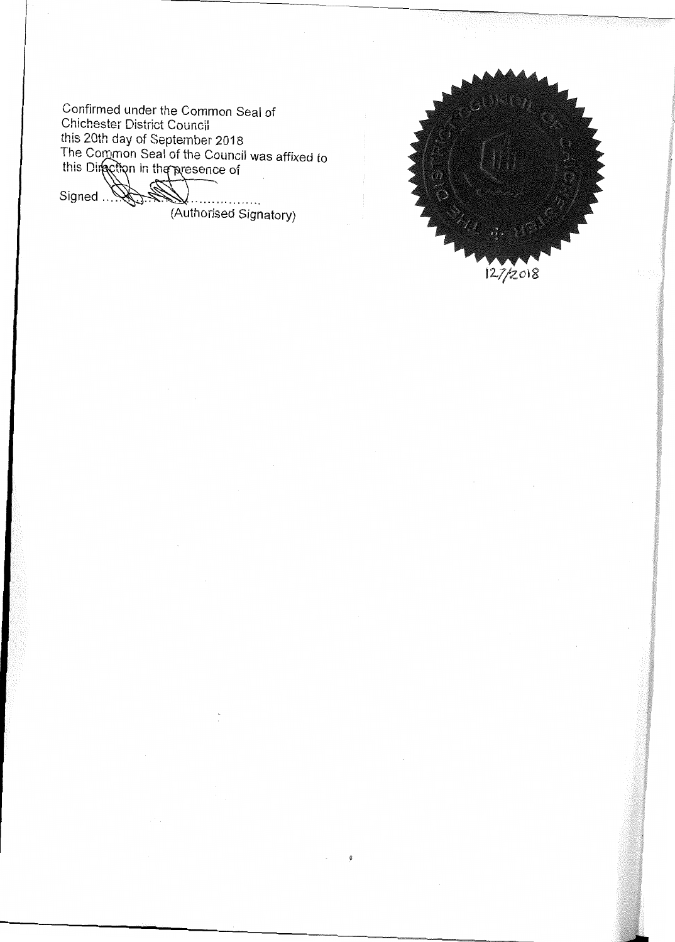Confirmed under the Common Seal of Chichester District Council this 20th day of September 2018<br>The Common Seal of the Council was affixed to<br>this Direction in the presence of

Signed Way . . . . . . . . (Authorised Signatory)